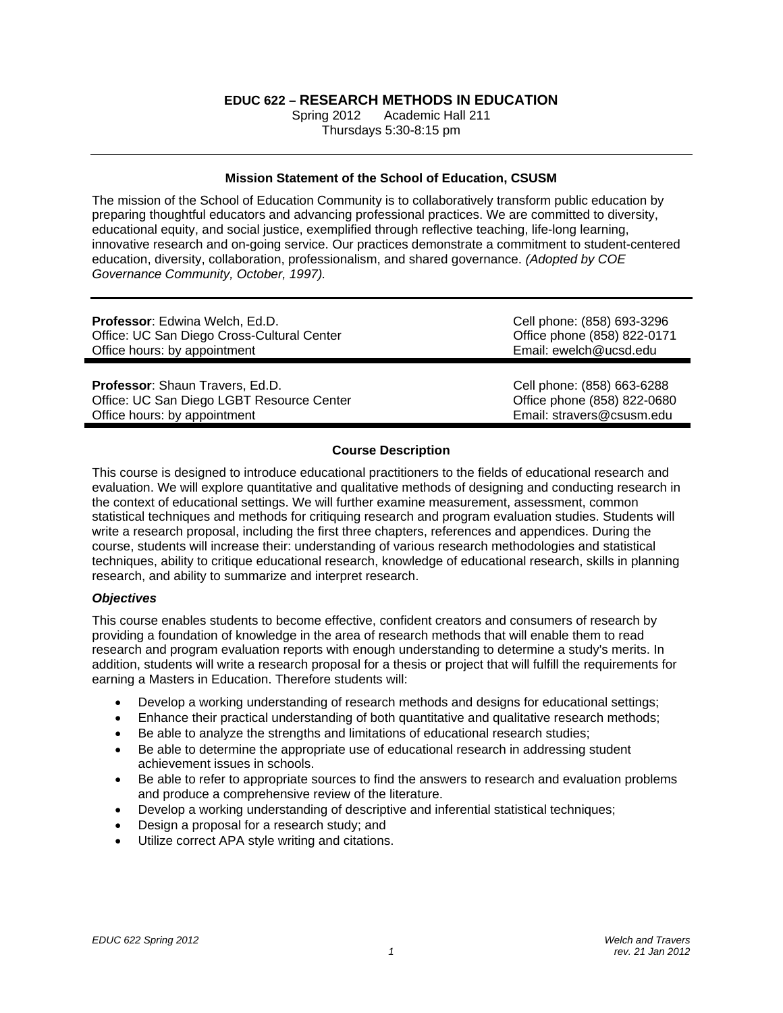# **EDUC 622 – RESEARCH METHODS IN EDUCATION**

Academic Hall 211 Thursdays 5:30-8:15 pm

## **Mission Statement of the School of Education, CSUSM**

The mission of the School of Education Community is to collaboratively transform public education by preparing thoughtful educators and advancing professional practices. We are committed to diversity, educational equity, and social justice, exemplified through reflective teaching, life-long learning, innovative research and on-going service. Our practices demonstrate a commitment to student-centered education, diversity, collaboration, professionalism, and shared governance. *(Adopted by COE Governance Community, October, 1997).* 

| <b>Professor:</b> Edwina Welch, Ed.D.      | Cell phone: (858) 693-3296  |  |  |
|--------------------------------------------|-----------------------------|--|--|
| Office: UC San Diego Cross-Cultural Center | Office phone (858) 822-0171 |  |  |
| Office hours: by appointment               | Email: ewelch@ucsd.edu      |  |  |
| <b>Professor:</b> Shaun Travers, Ed.D.     | Cell phone: (858) 663-6288  |  |  |
| Office: UC San Diego LGBT Resource Center  | Office phone (858) 822-0680 |  |  |
| Office hours: by appointment               | Email: stravers@csusm.edu   |  |  |

## **Course Description**

This course is designed to introduce educational practitioners to the fields of educational research and evaluation. We will explore quantitative and qualitative methods of designing and conducting research in the context of educational settings. We will further examine measurement, assessment, common statistical techniques and methods for critiquing research and program evaluation studies. Students will write a research proposal, including the first three chapters, references and appendices. During the course, students will increase their: understanding of various research methodologies and statistical techniques, ability to critique educational research, knowledge of educational research, skills in planning research, and ability to summarize and interpret research.

## *Objectives*

This course enables students to become effective, confident creators and consumers of research by providing a foundation of knowledge in the area of research methods that will enable them to read research and program evaluation reports with enough understanding to determine a study's merits. In addition, students will write a research proposal for a thesis or project that will fulfill the requirements for earning a Masters in Education. Therefore students will:

- Develop a working understanding of research methods and designs for educational settings;
- Enhance their practical understanding of both quantitative and qualitative research methods;
- Be able to analyze the strengths and limitations of educational research studies;
- Be able to determine the appropriate use of educational research in addressing student achievement issues in schools.
- Be able to refer to appropriate sources to find the answers to research and evaluation problems and produce a comprehensive review of the literature.
- Develop a working understanding of descriptive and inferential statistical techniques;
- Design a proposal for a research study; and
- Utilize correct APA style writing and citations.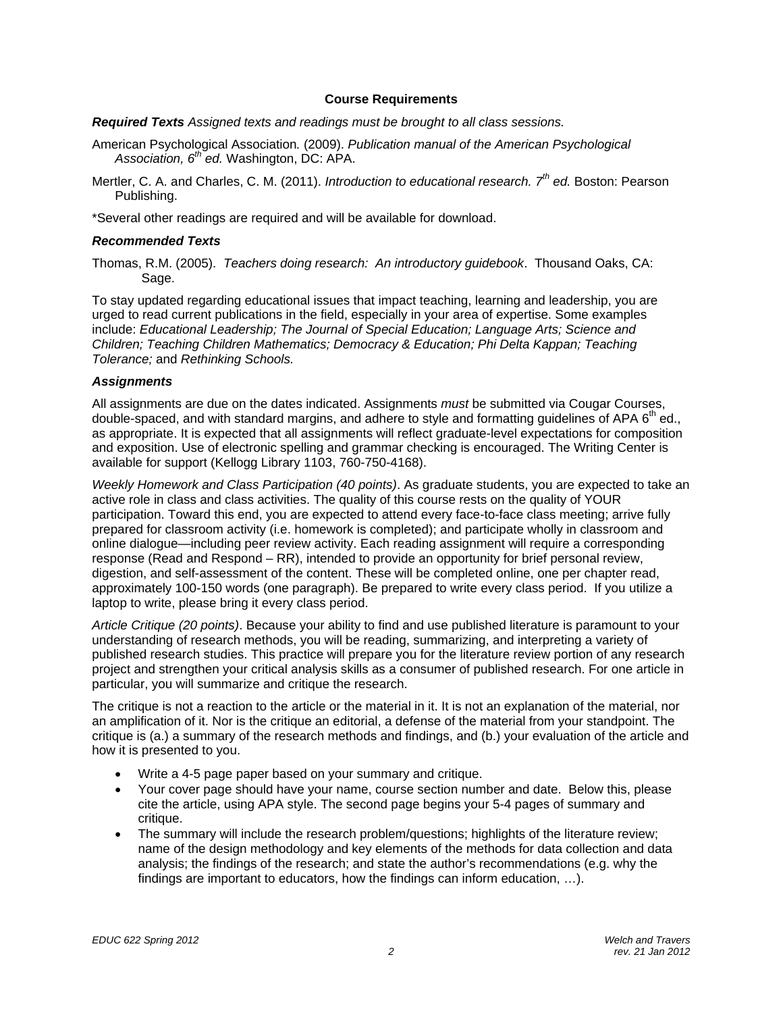### **Course Requirements**

*Required Texts Assigned texts and readings must be brought to all class sessions.* 

- American Psychological Association*.* (2009). *Publication manual of the American Psychological Association, 6th ed.* Washington, DC: APA.
- Mertler, C. A. and Charles, C. M. (2011). *Introduction to educational research. 7th ed.* Boston: Pearson Publishing.

\*Several other readings are required and will be available for download.

## *Recommended Texts*

Thomas, R.M. (2005). *Teachers doing research: An introductory guidebook*. Thousand Oaks, CA: Sage.

To stay updated regarding educational issues that impact teaching, learning and leadership, you are urged to read current publications in the field, especially in your area of expertise. Some examples include: *Educational Leadership; The Journal of Special Education; Language Arts; Science and Children; Teaching Children Mathematics; Democracy & Education; Phi Delta Kappan; Teaching Tolerance;* and *Rethinking Schools.* 

### *Assignments*

All assignments are due on the dates indicated. Assignments *must* be submitted via Cougar Courses, double-spaced, and with standard margins, and adhere to style and formatting guidelines of APA  $6<sup>th</sup>$  ed., as appropriate. It is expected that all assignments will reflect graduate-level expectations for composition and exposition. Use of electronic spelling and grammar checking is encouraged. The Writing Center is available for support (Kellogg Library 1103, 760-750-4168).

*Weekly Homework and Class Participation (40 points)*. As graduate students, you are expected to take an active role in class and class activities. The quality of this course rests on the quality of YOUR participation. Toward this end, you are expected to attend every face-to-face class meeting; arrive fully prepared for classroom activity (i.e. homework is completed); and participate wholly in classroom and online dialogue—including peer review activity. Each reading assignment will require a corresponding response (Read and Respond – RR), intended to provide an opportunity for brief personal review, digestion, and self-assessment of the content. These will be completed online, one per chapter read, approximately 100-150 words (one paragraph). Be prepared to write every class period. If you utilize a laptop to write, please bring it every class period.

*Article Critique (20 points)*. Because your ability to find and use published literature is paramount to your understanding of research methods, you will be reading, summarizing, and interpreting a variety of published research studies. This practice will prepare you for the literature review portion of any research project and strengthen your critical analysis skills as a consumer of published research. For one article in particular, you will summarize and critique the research.

The critique is not a reaction to the article or the material in it. It is not an explanation of the material, nor an amplification of it. Nor is the critique an editorial, a defense of the material from your standpoint. The critique is (a.) a summary of the research methods and findings, and (b.) your evaluation of the article and how it is presented to you.

- Write a 4-5 page paper based on your summary and critique.
- Your cover page should have your name, course section number and date. Below this, please cite the article, using APA style. The second page begins your 5-4 pages of summary and critique.
- The summary will include the research problem/questions; highlights of the literature review; name of the design methodology and key elements of the methods for data collection and data analysis; the findings of the research; and state the author's recommendations (e.g. why the findings are important to educators, how the findings can inform education, …).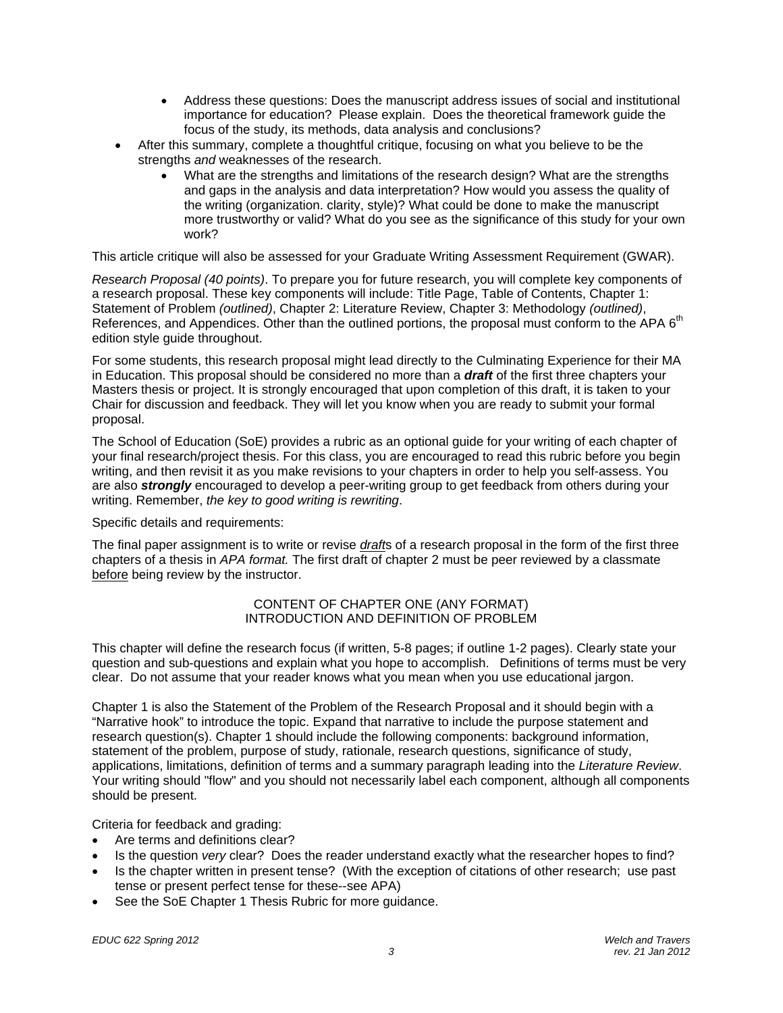- Address these questions: Does the manuscript address issues of social and institutional importance for education? Please explain. Does the theoretical framework guide the focus of the study, its methods, data analysis and conclusions?
- After this summary, complete a thoughtful critique, focusing on what you believe to be the strengths *and* weaknesses of the research.
	- What are the strengths and limitations of the research design? What are the strengths and gaps in the analysis and data interpretation? How would you assess the quality of the writing (organization. clarity, style)? What could be done to make the manuscript more trustworthy or valid? What do you see as the significance of this study for your own work?

This article critique will also be assessed for your Graduate Writing Assessment Requirement (GWAR).

*Research Proposal (40 points)*. To prepare you for future research, you will complete key components of a research proposal. These key components will include: Title Page, Table of Contents, Chapter 1: Statement of Problem *(outlined)*, Chapter 2: Literature Review, Chapter 3: Methodology *(outlined)*, References, and Appendices. Other than the outlined portions, the proposal must conform to the APA 6<sup>th</sup> edition style guide throughout.

For some students, this research proposal might lead directly to the Culminating Experience for their MA in Education. This proposal should be considered no more than a *draft* of the first three chapters your Masters thesis or project. It is strongly encouraged that upon completion of this draft, it is taken to your Chair for discussion and feedback. They will let you know when you are ready to submit your formal proposal.

The School of Education (SoE) provides a rubric as an optional guide for your writing of each chapter of your final research/project thesis. For this class, you are encouraged to read this rubric before you begin writing, and then revisit it as you make revisions to your chapters in order to help you self-assess. You are also *strongly* encouraged to develop a peer-writing group to get feedback from others during your writing. Remember, *the key to good writing is rewriting*.

Specific details and requirements:

The final paper assignment is to write or revise *draft*s of a research proposal in the form of the first three chapters of a thesis in *APA format.* The first draft of chapter 2 must be peer reviewed by a classmate before being review by the instructor.

## CONTENT OF CHAPTER ONE (ANY FORMAT) INTRODUCTION AND DEFINITION OF PROBLEM

This chapter will define the research focus (if written, 5-8 pages; if outline 1-2 pages). Clearly state your question and sub-questions and explain what you hope to accomplish. Definitions of terms must be very clear. Do not assume that your reader knows what you mean when you use educational jargon.

Chapter 1 is also the Statement of the Problem of the Research Proposal and it should begin with a "Narrative hook" to introduce the topic. Expand that narrative to include the purpose statement and research question(s). Chapter 1 should include the following components: background information, statement of the problem, purpose of study, rationale, research questions, significance of study, applications, limitations, definition of terms and a summary paragraph leading into the *Literature Review*. Your writing should "flow" and you should not necessarily label each component, although all components should be present.

Criteria for feedback and grading:

- Are terms and definitions clear?
- Is the question *very* clear? Does the reader understand exactly what the researcher hopes to find?
- Is the chapter written in present tense? (With the exception of citations of other research; use past tense or present perfect tense for these--see APA)
- See the SoE Chapter 1 Thesis Rubric for more guidance.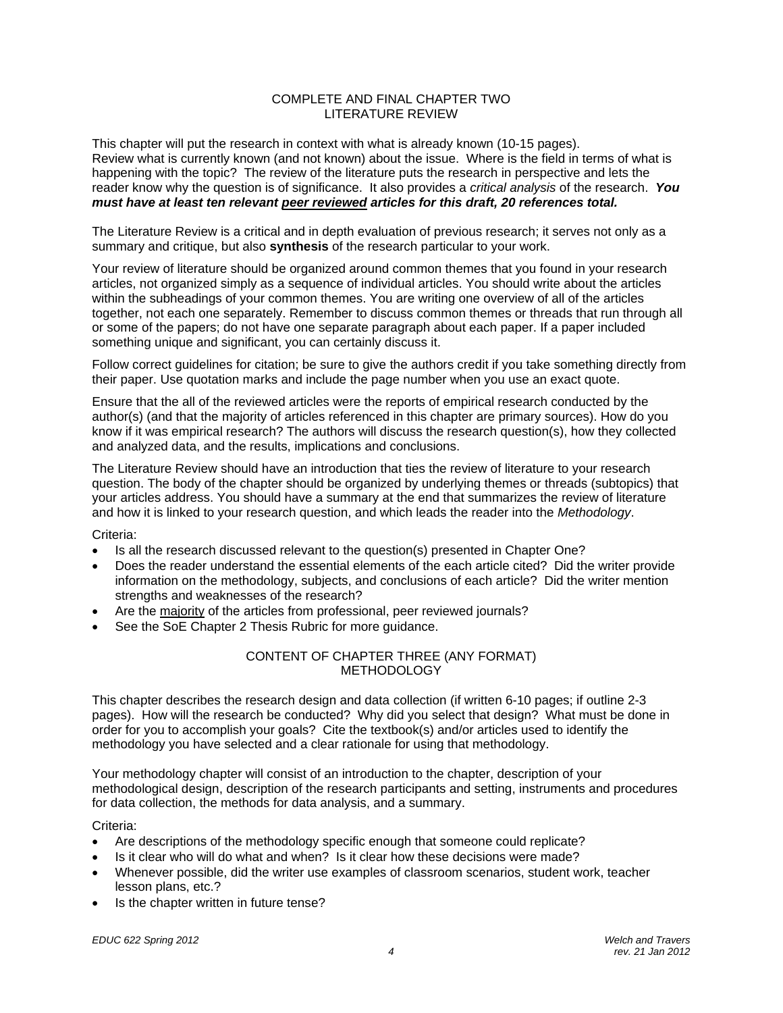## COMPLETE AND FINAL CHAPTER TWO LITERATURE REVIEW

This chapter will put the research in context with what is already known (10-15 pages). Review what is currently known (and not known) about the issue. Where is the field in terms of what is happening with the topic? The review of the literature puts the research in perspective and lets the reader know why the question is of significance. It also provides a *critical analysis* of the research. *You must have at least ten relevant peer reviewed articles for this draft, 20 references total.* 

The Literature Review is a critical and in depth evaluation of previous research; it serves not only as a summary and critique, but also **synthesis** of the research particular to your work.

Your review of literature should be organized around common themes that you found in your research articles, not organized simply as a sequence of individual articles. You should write about the articles within the subheadings of your common themes. You are writing one overview of all of the articles together, not each one separately. Remember to discuss common themes or threads that run through all or some of the papers; do not have one separate paragraph about each paper. If a paper included something unique and significant, you can certainly discuss it.

Follow correct guidelines for citation; be sure to give the authors credit if you take something directly from their paper. Use quotation marks and include the page number when you use an exact quote.

Ensure that the all of the reviewed articles were the reports of empirical research conducted by the author(s) (and that the majority of articles referenced in this chapter are primary sources). How do you know if it was empirical research? The authors will discuss the research question(s), how they collected and analyzed data, and the results, implications and conclusions.

The Literature Review should have an introduction that ties the review of literature to your research question. The body of the chapter should be organized by underlying themes or threads (subtopics) that your articles address. You should have a summary at the end that summarizes the review of literature and how it is linked to your research question, and which leads the reader into the *Methodology*.

Criteria:

- Is all the research discussed relevant to the question(s) presented in Chapter One?
- Does the reader understand the essential elements of the each article cited? Did the writer provide information on the methodology, subjects, and conclusions of each article? Did the writer mention strengths and weaknesses of the research?
- Are the majority of the articles from professional, peer reviewed journals?
- See the SoE Chapter 2 Thesis Rubric for more guidance.

## CONTENT OF CHAPTER THREE (ANY FORMAT) **METHODOLOGY**

This chapter describes the research design and data collection (if written 6-10 pages; if outline 2-3 pages). How will the research be conducted? Why did you select that design? What must be done in order for you to accomplish your goals? Cite the textbook(s) and/or articles used to identify the methodology you have selected and a clear rationale for using that methodology.

Your methodology chapter will consist of an introduction to the chapter, description of your methodological design, description of the research participants and setting, instruments and procedures for data collection, the methods for data analysis, and a summary.

## Criteria:

- Are descriptions of the methodology specific enough that someone could replicate?
- Is it clear who will do what and when? Is it clear how these decisions were made?
- Whenever possible, did the writer use examples of classroom scenarios, student work, teacher lesson plans, etc.?
- Is the chapter written in future tense?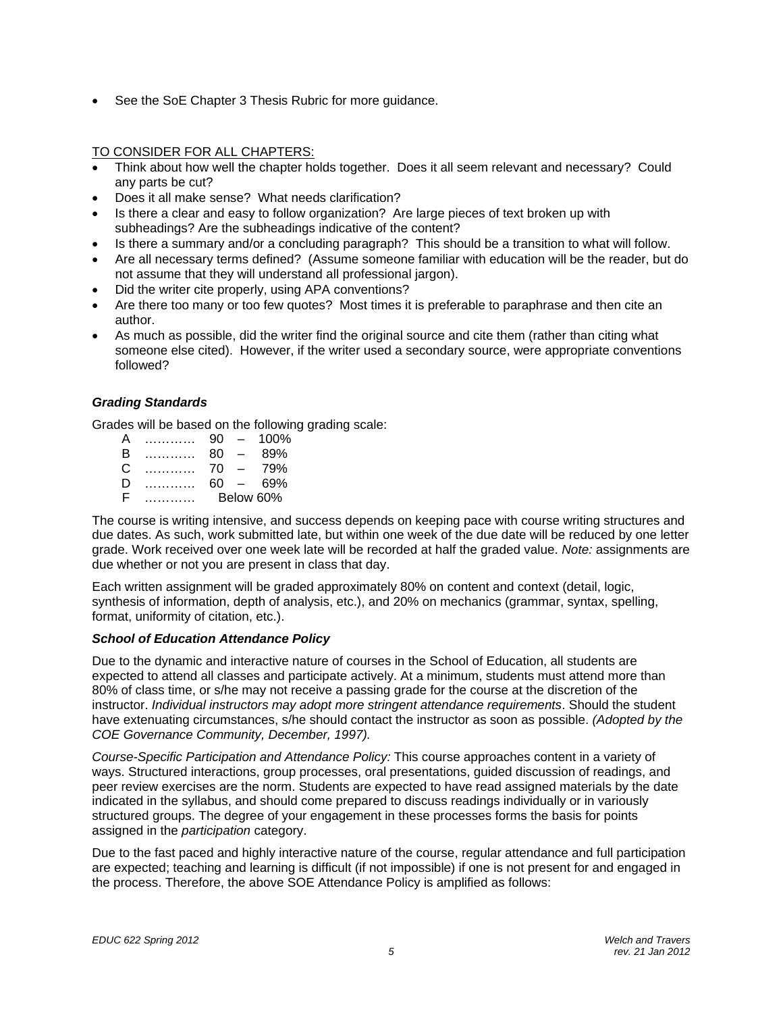See the SoE Chapter 3 Thesis Rubric for more guidance.

## TO CONSIDER FOR ALL CHAPTERS:

- Think about how well the chapter holds together. Does it all seem relevant and necessary? Could any parts be cut?
- Does it all make sense? What needs clarification?
- Is there a clear and easy to follow organization? Are large pieces of text broken up with subheadings? Are the subheadings indicative of the content?
- Is there a summary and/or a concluding paragraph? This should be a transition to what will follow.
- Are all necessary terms defined? (Assume someone familiar with education will be the reader, but do not assume that they will understand all professional jargon).
- Did the writer cite properly, using APA conventions?
- Are there too many or too few quotes? Most times it is preferable to paraphrase and then cite an author.
- As much as possible, did the writer find the original source and cite them (rather than citing what someone else cited). However, if the writer used a secondary source, were appropriate conventions followed?

## *Grading Standards*

Grades will be based on the following grading scale:

| А |   | 90        | $\overline{\phantom{0}}$ | 100% |
|---|---|-----------|--------------------------|------|
| B | . | 80        |                          | 89%  |
| C |   | 70        |                          | 79%  |
| Ð | . | 60        | $\overline{\phantom{0}}$ | 69%  |
| E |   | Below 60% |                          |      |

The course is writing intensive, and success depends on keeping pace with course writing structures and due dates. As such, work submitted late, but within one week of the due date will be reduced by one letter grade. Work received over one week late will be recorded at half the graded value. *Note:* assignments are due whether or not you are present in class that day.

Each written assignment will be graded approximately 80% on content and context (detail, logic, synthesis of information, depth of analysis, etc.), and 20% on mechanics (grammar, syntax, spelling, format, uniformity of citation, etc.).

## *School of Education Attendance Policy*

COE Governance Community, December, 1997). Due to the dynamic and interactive nature of courses in the School of Education, all students are expected to attend all classes and participate actively. At a minimum, students must attend more than 80% of class time, or s/he may not receive a passing grade for the course at the discretion of the instructor. *Individual instructors may adopt more stringent attendance requirements*. Should the student have extenuating circumstances, s/he should contact the instructor as soon as possible. *(Adopted by the* 

*Course-Specific Participation and Attendance Policy:* This course approaches content in a variety of ways. Structured interactions, group processes, oral presentations, guided discussion of readings, and peer review exercises are the norm. Students are expected to have read assigned materials by the date indicated in the syllabus, and should come prepared to discuss readings individually or in variously structured groups. The degree of your engagement in these processes forms the basis for points assigned in the *participation* category.

Due to the fast paced and highly interactive nature of the course, regular attendance and full participation are expected; teaching and learning is difficult (if not impossible) if one is not present for and engaged in the process. Therefore, the above SOE Attendance Policy is amplified as follows: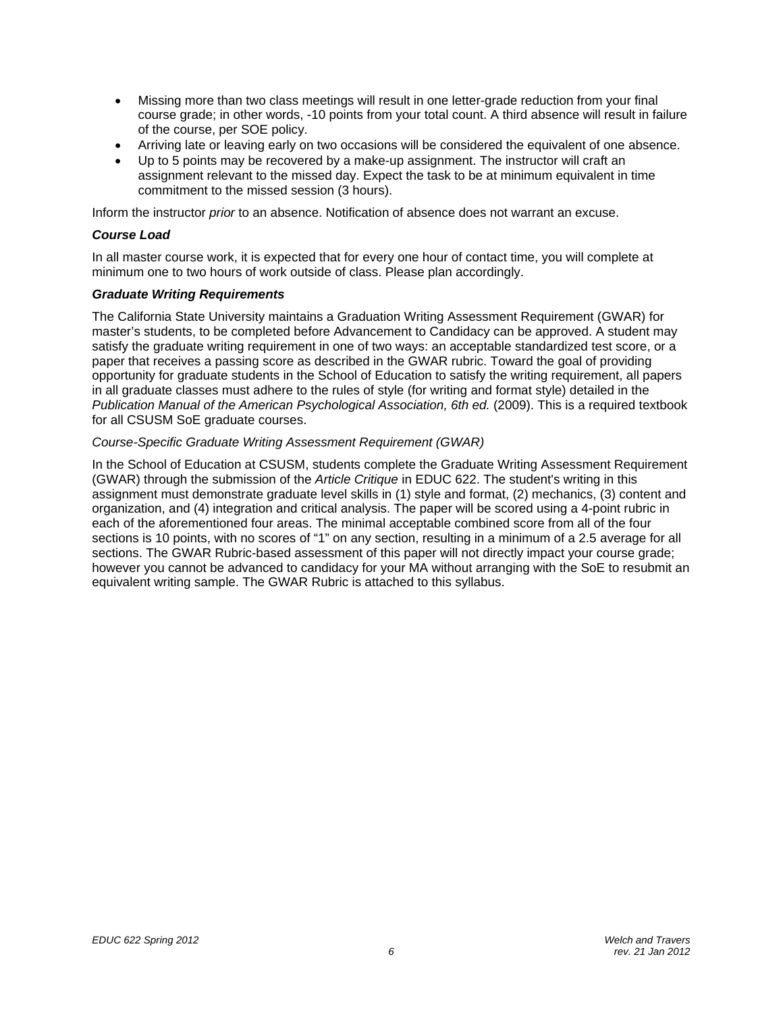- Missing more than two class meetings will result in one letter-grade reduction from your final course grade; in other words, -10 points from your total count. A third absence will result in failure of the course, per SOE policy.
- Arriving late or leaving early on two occasions will be considered the equivalent of one absence.
- Up to 5 points may be recovered by a make-up assignment. The instructor will craft an assignment relevant to the missed day. Expect the task to be at minimum equivalent in time commitment to the missed session (3 hours).

Inform the instructor *prior* to an absence. Notification of absence does not warrant an excuse.

## *Course Load*

In all master course work, it is expected that for every one hour of contact time, you will complete at minimum one to two hours of work outside of class. Please plan accordingly.

## *Graduate Writing Requirements*

The California State University maintains a Graduation Writing Assessment Requirement (GWAR) for master's students, to be completed before Advancement to Candidacy can be approved. A student may satisfy the graduate writing requirement in one of two ways: an acceptable standardized test score, or a paper that receives a passing score as described in the GWAR rubric. Toward the goal of providing opportunity for graduate students in the School of Education to satisfy the writing requirement, all papers in all graduate classes must adhere to the rules of style (for writing and format style) detailed in the *Publication Manual of the American Psychological Association, 6th ed.* (2009). This is a required textbook for all CSUSM SoE graduate courses.

## *Course-Specific Graduate Writing Assessment Requirement (GWAR)*

equivalent writing sample. The GWAR Rubric is attached to this syllabus. In the School of Education at CSUSM, students complete the Graduate Writing Assessment Requirement (GWAR) through the submission of the *Article Critique* in EDUC 622. The student's writing in this assignment must demonstrate graduate level skills in (1) style and format, (2) mechanics, (3) content and organization, and (4) integration and critical analysis. The paper will be scored using a 4-point rubric in each of the aforementioned four areas. The minimal acceptable combined score from all of the four sections is 10 points, with no scores of "1" on any section, resulting in a minimum of a 2.5 average for all sections. The GWAR Rubric-based assessment of this paper will not directly impact your course grade; however you cannot be advanced to candidacy for your MA without arranging with the SoE to resubmit an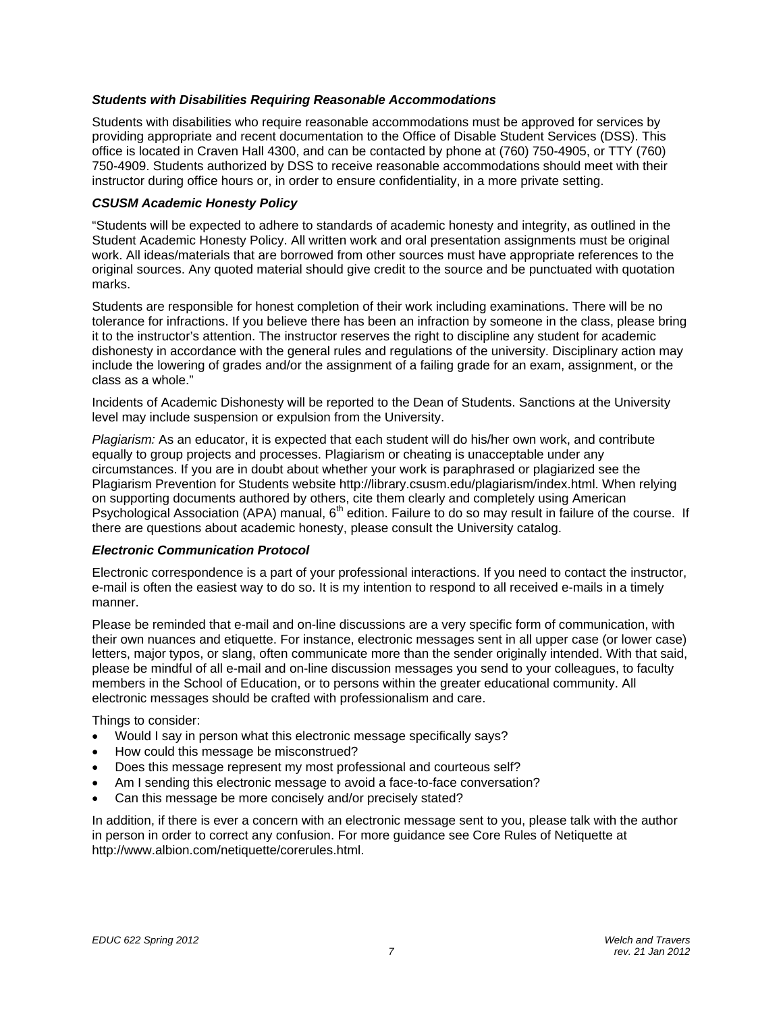## *Students with Disabilities Requiring Reasonable Accommodations*

Students with disabilities who require reasonable accommodations must be approved for services by providing appropriate and recent documentation to the Office of Disable Student Services (DSS). This office is located in Craven Hall 4300, and can be contacted by phone at (760) 750-4905, or TTY (760) 750-4909. Students authorized by DSS to receive reasonable accommodations should meet with their instructor during office hours or, in order to ensure confidentiality, in a more private setting.

## *CSUSM Academic Honesty Policy*

"Students will be expected to adhere to standards of academic honesty and integrity, as outlined in the Student Academic Honesty Policy. All written work and oral presentation assignments must be original work. All ideas/materials that are borrowed from other sources must have appropriate references to the original sources. Any quoted material should give credit to the source and be punctuated with quotation marks.

Students are responsible for honest completion of their work including examinations. There will be no tolerance for infractions. If you believe there has been an infraction by someone in the class, please bring it to the instructor's attention. The instructor reserves the right to discipline any student for academic dishonesty in accordance with the general rules and regulations of the university. Disciplinary action may include the lowering of grades and/or the assignment of a failing grade for an exam, assignment, or the class as a whole."

Incidents of Academic Dishonesty will be reported to the Dean of Students. Sanctions at the University level may include suspension or expulsion from the University.

*Plagiarism:* As an educator, it is expected that each student will do his/her own work, and contribute equally to group projects and processes. Plagiarism or cheating is unacceptable under any circumstances. If you are in doubt about whether your work is paraphrased or plagiarized see the Plagiarism Prevention for Students website http://library.csusm.edu/plagiarism/index.html. When relying on supporting documents authored by others, cite them clearly and completely using American Psychological Association (APA) manual, 6<sup>th</sup> edition. Failure to do so may result in failure of the course. If there are questions about academic honesty, please consult the University catalog.

## *Electronic Communication Protocol*

Electronic correspondence is a part of your professional interactions. If you need to contact the instructor, e-mail is often the easiest way to do so. It is my intention to respond to all received e-mails in a timely manner.

Please be reminded that e-mail and on-line discussions are a very specific form of communication, with their own nuances and etiquette. For instance, electronic messages sent in all upper case (or lower case) letters, major typos, or slang, often communicate more than the sender originally intended. With that said, please be mindful of all e-mail and on-line discussion messages you send to your colleagues, to faculty members in the School of Education, or to persons within the greater educational community. All electronic messages should be crafted with professionalism and care.

Things to consider:

- Would I say in person what this electronic message specifically says?
- How could this message be misconstrued?
- Does this message represent my most professional and courteous self?
- Am I sending this electronic message to avoid a face-to-face conversation?
- Can this message be more concisely and/or precisely stated?

In addition, if there is ever a concern with an electronic message sent to you, please talk with the author in person in order to correct any confusion. For more guidance see Core Rules of Netiquette at http://www.albion.com/netiquette/corerules.html.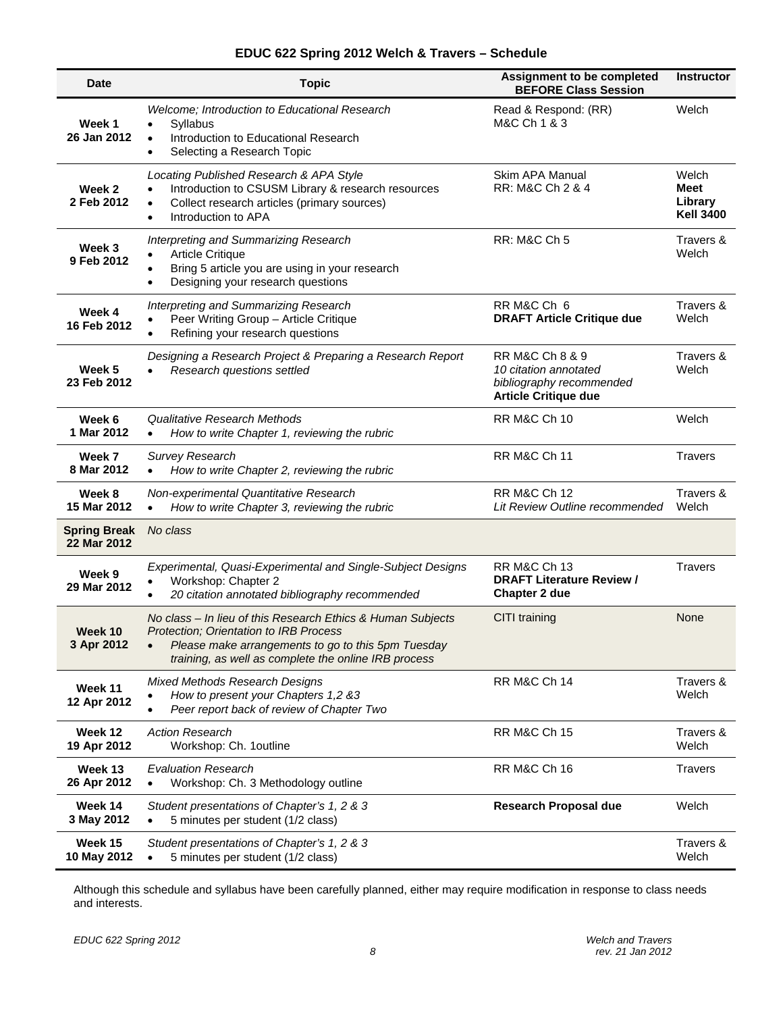| <b>Date</b>                        | <b>Topic</b>                                                                                                                                                                                                                            | Assignment to be completed<br><b>BEFORE Class Session</b>                                           | <b>Instructor</b>                            |
|------------------------------------|-----------------------------------------------------------------------------------------------------------------------------------------------------------------------------------------------------------------------------------------|-----------------------------------------------------------------------------------------------------|----------------------------------------------|
| Week 1<br>26 Jan 2012              | Welcome; Introduction to Educational Research<br>Syllabus<br>$\bullet$<br>Introduction to Educational Research<br>$\bullet$<br>Selecting a Research Topic<br>$\bullet$                                                                  | Read & Respond: (RR)<br>M&C Ch 1 & 3                                                                | Welch                                        |
| Week 2<br>2 Feb 2012               | Locating Published Research & APA Style<br>Introduction to CSUSM Library & research resources<br>$\bullet$<br>Collect research articles (primary sources)<br>$\bullet$<br>Introduction to APA<br>$\bullet$                              | Skim APA Manual<br>RR: M&C Ch 2 & 4                                                                 | Welch<br>Meet<br>Library<br><b>Kell 3400</b> |
| Week 3<br>9 Feb 2012               | Interpreting and Summarizing Research<br><b>Article Critique</b><br>Bring 5 article you are using in your research<br>$\bullet$<br>Designing your research questions<br>$\bullet$                                                       | <b>RR: M&amp;C Ch 5</b>                                                                             | Travers &<br>Welch                           |
| Week 4<br>16 Feb 2012              | Interpreting and Summarizing Research<br>Peer Writing Group - Article Critique<br>Refining your research questions                                                                                                                      | RR M&C Ch 6<br><b>DRAFT Article Critique due</b>                                                    | Travers &<br>Welch                           |
| Week 5<br>23 Feb 2012              | Designing a Research Project & Preparing a Research Report<br>Research questions settled<br>$\bullet$                                                                                                                                   | RR M&C Ch 8 & 9<br>10 citation annotated<br>bibliography recommended<br><b>Article Critique due</b> | Travers &<br>Welch                           |
| Week 6<br>1 Mar 2012               | Qualitative Research Methods<br>How to write Chapter 1, reviewing the rubric<br>$\bullet$                                                                                                                                               | <b>RR M&amp;C Ch 10</b>                                                                             | Welch                                        |
| Week 7<br>8 Mar 2012               | <b>Survey Research</b><br>How to write Chapter 2, reviewing the rubric<br>$\bullet$                                                                                                                                                     | <b>RR M&amp;C Ch 11</b>                                                                             | <b>Travers</b>                               |
| Week 8<br>15 Mar 2012              | Non-experimental Quantitative Research<br>How to write Chapter 3, reviewing the rubric<br>$\bullet$                                                                                                                                     | <b>RR M&amp;C Ch 12</b><br>Lit Review Outline recommended                                           | Travers &<br>Welch                           |
| <b>Spring Break</b><br>22 Mar 2012 | No class                                                                                                                                                                                                                                |                                                                                                     |                                              |
| Week 9<br>29 Mar 2012              | Experimental, Quasi-Experimental and Single-Subject Designs<br>Workshop: Chapter 2<br>20 citation annotated bibliography recommended                                                                                                    | <b>RR M&amp;C Ch 13</b><br><b>DRAFT Literature Review /</b><br>Chapter 2 due                        | <b>Travers</b>                               |
| Week 10<br>3 Apr 2012              | No class - In lieu of this Research Ethics & Human Subjects<br><b>Protection: Orientation to IRB Process</b><br>Please make arrangements to go to this 5pm Tuesday<br>$\bullet$<br>training, as well as complete the online IRB process | CITI training                                                                                       |                                              |
| Week 11<br>12 Apr 2012             | <b>Mixed Methods Research Designs</b><br>How to present your Chapters 1,2 &3<br>Peer report back of review of Chapter Two                                                                                                               | <b>RR M&amp;C Ch 14</b>                                                                             | Travers &<br>Welch                           |
| Week 12<br>19 Apr 2012             | <b>Action Research</b><br>Workshop: Ch. 1outline                                                                                                                                                                                        | <b>RR M&amp;C Ch 15</b>                                                                             | Travers &<br>Welch                           |
| Week 13<br>26 Apr 2012             | <b>Evaluation Research</b><br>Workshop: Ch. 3 Methodology outline<br>$\bullet$                                                                                                                                                          | <b>RR M&amp;C Ch 16</b>                                                                             | <b>Travers</b>                               |
| Week 14<br>3 May 2012              | Student presentations of Chapter's 1, 2 & 3<br>5 minutes per student (1/2 class)<br>$\bullet$                                                                                                                                           | <b>Research Proposal due</b>                                                                        | Welch                                        |
| Week 15<br>10 May 2012             | Student presentations of Chapter's 1, 2 & 3<br>5 minutes per student (1/2 class)                                                                                                                                                        |                                                                                                     | Travers &<br>Welch                           |

## **EDUC 622 Spring 2012 Welch & Travers – Schedule**

Although this schedule and syllabus have been carefully planned, either may require modification in response to class needs and interests.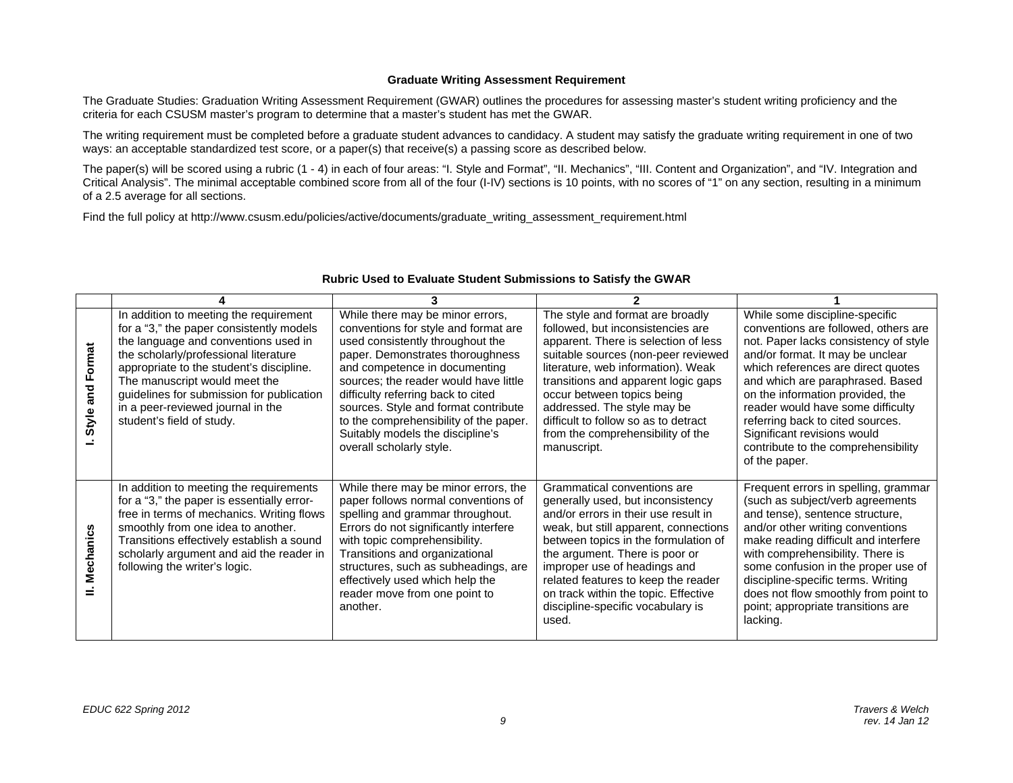#### **Graduate Writing Assessment Requirement**

The Graduate Studies: Graduation Writing Assessment Requirement (GWAR) outlines the procedures for assessing master's student writing proficiency and the criteria for each CSUSM master's program to determine that a master's student has met the GWAR.

The writing requirement must be completed before a graduate student advances to candidacy. A student may satisfy the graduate writing requirement in one of two ways: an acceptable standardized test score, or a paper(s) that receive(s) a passing score as described below.

The paper(s) will be scored using a rubric (1 - 4) in each of four areas: "I. Style and Format", "II. Mechanics", "III. Content and Organization", and "IV. Integration and Critical Analysis". The minimal acceptable combined score from all of the four (I-IV) sections is 10 points, with no scores of "1" on any section, resulting in a minimum of a 2.5 average for all sections.

Find the full policy at http://www.csusm.edu/policies/active/documents/graduate\_writing\_assessment\_requirement.html

| and Format<br>Style | In addition to meeting the requirement<br>for a "3," the paper consistently models<br>the language and conventions used in<br>the scholarly/professional literature<br>appropriate to the student's discipline.<br>The manuscript would meet the<br>guidelines for submission for publication<br>in a peer-reviewed journal in the<br>student's field of study. | While there may be minor errors,<br>conventions for style and format are<br>used consistently throughout the<br>paper. Demonstrates thoroughness<br>and competence in documenting<br>sources; the reader would have little<br>difficulty referring back to cited<br>sources. Style and format contribute<br>to the comprehensibility of the paper.<br>Suitably models the discipline's<br>overall scholarly style. | The style and format are broadly<br>followed, but inconsistencies are<br>apparent. There is selection of less<br>suitable sources (non-peer reviewed<br>literature, web information). Weak<br>transitions and apparent logic gaps<br>occur between topics being<br>addressed. The style may be<br>difficult to follow so as to detract<br>from the comprehensibility of the<br>manuscript. | While some discipline-specific<br>conventions are followed, others are<br>not. Paper lacks consistency of style<br>and/or format. It may be unclear<br>which references are direct quotes<br>and which are paraphrased. Based<br>on the information provided, the<br>reader would have some difficulty<br>referring back to cited sources.<br>Significant revisions would<br>contribute to the comprehensibility<br>of the paper. |
|---------------------|-----------------------------------------------------------------------------------------------------------------------------------------------------------------------------------------------------------------------------------------------------------------------------------------------------------------------------------------------------------------|--------------------------------------------------------------------------------------------------------------------------------------------------------------------------------------------------------------------------------------------------------------------------------------------------------------------------------------------------------------------------------------------------------------------|--------------------------------------------------------------------------------------------------------------------------------------------------------------------------------------------------------------------------------------------------------------------------------------------------------------------------------------------------------------------------------------------|-----------------------------------------------------------------------------------------------------------------------------------------------------------------------------------------------------------------------------------------------------------------------------------------------------------------------------------------------------------------------------------------------------------------------------------|
| <b>Mechanics</b>    | In addition to meeting the requirements<br>for a "3," the paper is essentially error-<br>free in terms of mechanics. Writing flows<br>smoothly from one idea to another.<br>Transitions effectively establish a sound<br>scholarly argument and aid the reader in<br>following the writer's logic.                                                              | While there may be minor errors, the<br>paper follows normal conventions of<br>spelling and grammar throughout.<br>Errors do not significantly interfere<br>with topic comprehensibility.<br>Transitions and organizational<br>structures, such as subheadings, are<br>effectively used which help the<br>reader move from one point to<br>another.                                                                | Grammatical conventions are<br>generally used, but inconsistency<br>and/or errors in their use result in<br>weak, but still apparent, connections<br>between topics in the formulation of<br>the argument. There is poor or<br>improper use of headings and<br>related features to keep the reader<br>on track within the topic. Effective<br>discipline-specific vocabulary is<br>used.   | Frequent errors in spelling, grammar<br>(such as subject/verb agreements<br>and tense), sentence structure,<br>and/or other writing conventions<br>make reading difficult and interfere<br>with comprehensibility. There is<br>some confusion in the proper use of<br>discipline-specific terms. Writing<br>does not flow smoothly from point to<br>point; appropriate transitions are<br>lacking.                                |

#### **Rubric Used to Evaluate Student Submissions to Satisfy the GWAR**